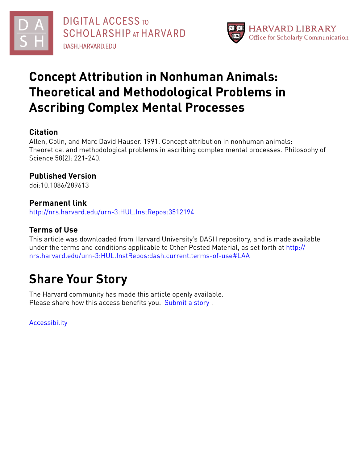



## **Concept Attribution in Nonhuman Animals: Theoretical and Methodological Problems in Ascribing Complex Mental Processes**

## **Citation**

Allen, Colin, and Marc David Hauser. 1991. Concept attribution in nonhuman animals: Theoretical and methodological problems in ascribing complex mental processes. Philosophy of Science 58(2): 221-240.

## **Published Version**

doi:10.1086/289613

### **Permanent link**

<http://nrs.harvard.edu/urn-3:HUL.InstRepos:3512194>

## **Terms of Use**

This article was downloaded from Harvard University's DASH repository, and is made available under the terms and conditions applicable to Other Posted Material, as set forth at [http://](http://nrs.harvard.edu/urn-3:HUL.InstRepos:dash.current.terms-of-use#LAA) [nrs.harvard.edu/urn-3:HUL.InstRepos:dash.current.terms-of-use#LAA](http://nrs.harvard.edu/urn-3:HUL.InstRepos:dash.current.terms-of-use#LAA)

# **Share Your Story**

The Harvard community has made this article openly available. Please share how this access benefits you. [Submit](http://osc.hul.harvard.edu/dash/open-access-feedback?handle=&title=Concept%20Attribution%20in%20Nonhuman%20Animals:%20Theoretical%20and%20Methodological%20Problems%20in%20Ascribing%20Complex%20Mental%20Processes&community=1/1&collection=1/2&owningCollection1/2&harvardAuthors=a5dfa2253c8d63b9f5ba63d298648263&departmentPsychology) a story.

[Accessibility](https://dash.harvard.edu/pages/accessibility)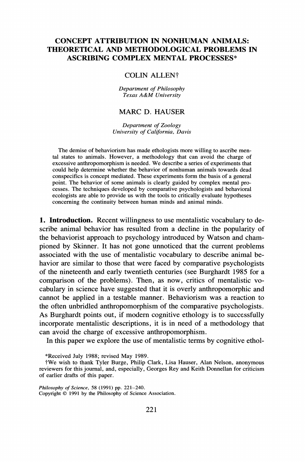### **CONCEPT ATTRIBUTION IN NONHUMAN ANIMALS: THEORETICAL AND METHODOLOGICAL PROBLEMS IN ASCRIBING COMPLEX MENTAL PROCESSES\***

#### **COLIN ALLENt**

**Department of Philosophy Texas A&M University** 

### **MARC D. HAUSER**

**Department of Zoology University of California, Davis** 

**The demise of behaviorism has made ethologists more willing to ascribe mental states to animals. However, a methodology that can avoid the charge of excessive anthropomorphism is needed. We describe a series of experiments that could help determine whether the behavior of nonhuman animals towards dead conspecifics is concept mediated. These experiments form the basis of a general point. The behavior of some animals is clearly guided by complex mental processes. The techniques developed by comparative psychologists and behavioral ecologists are able to provide us with the tools to critically evaluate hypotheses concerning the continuity between human minds and animal minds.** 

**1. Introduction. Recent willingness to use mentalistic vocabulary to describe animal behavior has resulted from a decline in the popularity of the behaviorist approach to psychology introduced by Watson and championed by Skinner. It has not gone unnoticed that the current problems associated with the use of mentalistic vocabulary to describe animal behavior are similar to those that were faced by comparative psychologists of the nineteenth and early twentieth centuries (see Burghardt 1985 for a comparison of the problems). Then, as now, critics of mentalistic vocabulary in science have suggested that it is overly anthropomorphic and cannot be applied in a testable manner. Behaviorism was a reaction to the often unbridled anthropomorphism of the comparative psychologists. As Burghardt points out, if modem cognitive ethology is to successfully incorporate mentalistic descriptions, it is in need of a methodology that can avoid the charge of excessive anthropomorphism.** 

**In this paper we explore the use of mentalistic terms by cognitive ethol-** 

**\*Received July 1988; revised May 1989.** 

**Philosophy of Science, 58 (1991) pp. 221-240.**  Copyright  $\odot$  1991 by the Philosophy of Science Association.

**tWe wish to thank Tyler Burge, Philip Clark, Lisa Hauser, Alan Nelson, anonymous reviewers for this journal, and, especially, Georges Rey and Keith Donnellan for criticism of earlier drafts of this paper.**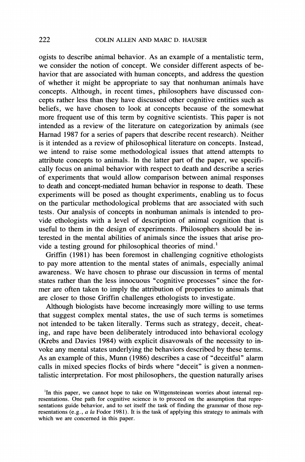**ogists to describe animal behavior. As an example of a mentalistic term, we consider the notion of concept. We consider different aspects of behavior that are associated with human concepts, and address the question of whether it might be appropriate to say that nonhuman animals have concepts. Although, in recent times, philosophers have discussed concepts rather less than they have discussed other cognitive entities such as beliefs, we have chosen to look at concepts because of the somewhat more frequent use of this term by cognitive scientists. This paper is not intended as a review of the literature on categorization by animals (see Hamad 1987 for a series of papers that describe recent research). Neither is it intended as a review of philosophical literature on concepts. Instead, we intend to raise some methodological issues that attend attempts to attribute concepts to animals. In the latter part of the paper, we specifically focus on animal behavior with respect to death and describe a series of experiments that would allow comparison between animal responses to death and concept-mediated human behavior in response to death. These experiments will be posed as thought experiments, enabling us to focus on the particular methodological problems that are associated with such tests. Our analysis of concepts in nonhuman animals is intended to provide ethologists with a level of description of animal cognition that is useful to them in the design of experiments. Philosophers should be interested in the mental abilities of animals since the issues that arise pro**vide a testing ground for philosophical theories of mind.<sup>1</sup>

**Griffin (1981) has been foremost in challenging cognitive ethologists to pay more attention to the mental states of animals, especially animal awareness. We have chosen to phrase our discussion in terms of mental states rather than the less innocuous "cognitive processes" since the former are often taken to imply the attribution of properties to animals that are closer to those Griffin challenges ethologists to investigate.** 

**Although biologists have become increasingly more willing to use terms that suggest complex mental states, the use of such terms is sometimes not intended to be taken literally. Terms such as strategy, deceit, cheating, and rape have been deliberately introduced into behavioral ecology (Krebs and Davies 1984) with explicit disavowals of the necessity to invoke any mental states underlying the behaviors described by these terms. As an example of this, Munn (1986) describes a case of "deceitful" alarm calls in mixed species flocks of birds where "deceit" is given a nonmentalistic interpretation. For most philosophers, the question naturally arises** 

**<sup>&#</sup>x27;In this paper, we cannot hope to take on Wittgensteinean worries about internal representations. One path for cognitive science is to proceed on the assumption that representations guide behavior, and to set itself the task of finding the grammar of those representations (e.g., a la Fodor 1981). It is the task of applying this strategy to animals with which we are concerned in this paper.**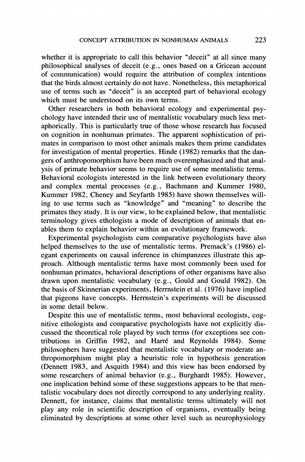**whether it is appropriate to call this behavior "deceit" at all since many philosophical analyses of deceit (e.g., ones based on a Gricean account of communication) would require the attribution of complex intentions that the birds almost certainly do not have. Nonetheless, this metaphorical use of terms such as "deceit" is an accepted part of behavioral ecology which must be understood on its own terms.** 

**Other researchers in both behavioral ecology and experimental psychology have intended their use of mentalistic vocabulary much less metaphorically. This is particularly true of those whose research has focused on cognition in nonhuman primates. The apparent sophistication of primates in comparison to most other animals makes them prime candidates for investigation of mental properties. Hinde (1982) remarks that the dangers of anthropomorphism have been much overemphasized and that analysis of primate behavior seems to require use of some mentalistic terms. Behavioral ecologists interested in the link between evolutionary theory and complex mental processes (e.g., Bachmann and Kummer 1980, Kummer 1982, Cheney and Seyfarth 1985) have shown themselves willing to use terms such as "knowledge" and "meaning" to describe the primates they study. It is our view, to be explained below, that mentalistic terminology gives ethologists a mode of description of animals that enables them to explain behavior within an evolutionary framework.** 

**Experimental psychologists cum comparative psychologists have also helped themselves to the use of mentalistic terms. Premack's (1986) elegant experiments on causal inference in chimpanzees illustrate this approach. Although mentalistic terms have most commonly been used for nonhuman primates, behavioral descriptions of other organisms have also drawn upon mentalistic vocabulary (e.g., Gould and Gould 1982). On the basis of Skinnerian experiments, Herrnstein et al. (1976) have implied that pigeons have concepts. Herrnstein's experiments will be discussed in some detail below.** 

**Despite this use of mentalistic terms, most behavioral ecologists, cognitive ethologists and comparative psychologists have not explicitly discussed the theoretical role played by such terms (for exceptions see contributions in Griffin 1982, and Harre and Reynolds 1984). Some philosophers have suggested that mentalistic vocabulary or moderate anthropomorphism might play a heuristic role in hypothesis generation (Dennett 1983, and Asquith 1984) and this view has been endorsed by some researchers of animal behavior (e.g., Burghardt 1985). However, one implication behind some of these suggestions appears to be that mentalistic vocabulary does not directly correspond to any underlying reality. Dennett, for instance, claims that mentalistic terms ultimately will not play any role in scientific description of organisms, eventually being eliminated by descriptions at some other level such as neurophysiology**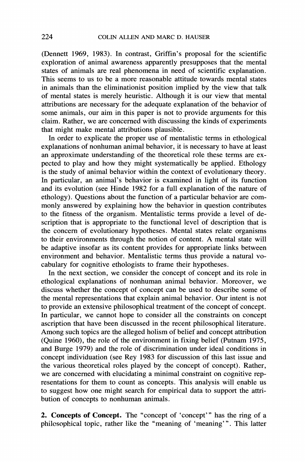**(Dennett 1969, 1983). In contrast, Griffin's proposal for the scientific exploration of animal awareness apparently presupposes that the mental states of animals are real phenomena in need of scientific explanation. This seems to us to be a more reasonable attitude towards mental states in animals than the eliminationist position implied by the view that talk of mental states is merely heuristic. Although it is our view that mental attributions are necessary for the adequate explanation of the behavior of some animals, our aim in this paper is not to provide arguments for this claim. Rather, we are concerned with discussing the kinds of experiments that might make mental attributions plausible.** 

**In order to explicate the proper use of mentalistic terms in ethological explanations of nonhuman animal behavior, it is necessary to have at least an approximate understanding of the theoretical role these terms are expected to play and how they might systematically be applied. Ethology is the study of animal behavior within the context of evolutionary theory. In particular, an animal's behavior is examined in light of its function and its evolution (see Hinde 1982 for a full explanation of the nature of ethology). Questions about the function of a particular behavior are commonly answered by explaining how the behavior in question contributes to the fitness of the organism. Mentalistic terms provide a level of description that is appropriate to the functional level of description that is the concern of evolutionary hypotheses. Mental states relate organisms to their environments through the notion of content. A mental state will be adaptive insofar as its content provides for appropriate links between environment and behavior. Mentalistic terms thus provide a natural vocabulary for cognitive ethologists to frame their hypotheses.** 

**In the next section, we consider the concept of concept and its role in ethological explanations of nonhuman animal behavior. Moreover, we discuss whether the concept of concept can be used to describe some of the mental representations that explain animal behavior. Our intent is not**  to provide an extensive philosophical treatment of the concept of concept. **In particular, we cannot hope to consider all the constraints on concept ascription that have been discussed in the recent philosophical literature. Among such topics are the alleged holism of belief and concept attribution (Quine 1960), the role of the environment in fixing belief (Putnam 1975, and Burge 1979) and the role of discrimination under ideal conditions in concept individuation (see Rey 1983 for discussion of this last issue and the various theoretical roles played by the concept of concept). Rather, we are concerned with elucidating a minimal constraint on cognitive representations for them to count as concepts. This analysis will enable us to suggest how one might search for empirical data to support the attribution of concepts to nonhuman animals.** 

**2. Concepts of Concept. The "concept of 'concept"' has the ring of a philosophical topic, rather like the "meaning of 'meaning"'. This latter**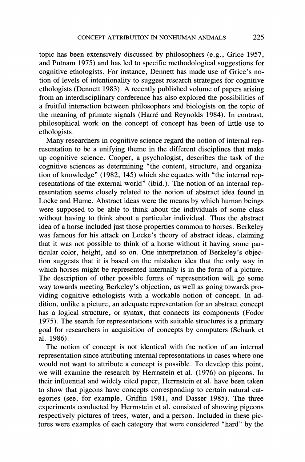**topic has been extensively discussed by philosophers (e.g., Grice 1957, and Putnam 1975) and has led to specific methodological suggestions for cognitive ethologists. For instance, Dennett has made use of Grice's notion of levels of intentionality to suggest research strategies for cognitive ethologists (Dennett 1983). A recently published volume of papers arising from an interdisciplinary conference has also explored the possibilities of a fruitful interaction between philosophers and biologists on the topic of the meaning of primate signals (Harre and Reynolds 1984). In contrast, philosophical work on the concept of concept has been of little use to ethologists.** 

**Many researchers in cognitive science regard the notion of internal representation to be a unifying theme in the different disciplines that make up cognitive science. Cooper, a psychologist, describes the task of the cognitive sciences as determining "the content, structure, and organization of knowledge" (1982, 145) which she equates with "the internal representations of the external world" (ibid.). The notion of an internal representation seems closely related to the notion of abstract idea found in Locke and Hume. Abstract ideas were the means by which human beings were supposed to be able to think about the individuals of some class without having to think about a particular individual. Thus the abstract idea of a horse included just those properties common to horses. Berkeley was famous for his attack on Locke's theory of abstract ideas, claiming that it was not possible to think of a horse without it having some particular color, height, and so on. One interpretation of Berkeley's objection suggests that it is based on the mistaken idea that the only way in which horses might be represented internally is in the form of a picture. The description of other possible forms of representation will go some way towards meeting Berkeley's objection, as well as going towards providing cognitive ethologists with a workable notion of concept. In addition, unlike a picture, an adequate representation for an abstract concept has a logical structure, or syntax, that connects its components (Fodor 1975). The search for representations with suitable structures is a primary goal for researchers in acquisition of concepts by computers (Schank et al. 1986).** 

**The notion of concept is not identical with the notion of an internal representation since attributing internal representations in cases where one would not want to attribute a concept is possible. To develop this point, we will examine the research by Herrnstein et al. (1976) on pigeons. In their influential and widely cited paper, Herrnstein et al. have been taken to show that pigeons have concepts corresponding to certain natural categories (see, for example, Griffin 1981, and Dasser 1985). The three experiments conducted by Herrnstein et al. consisted of showing pigeons respectively pictures of trees, water, and a person. Included in these pictures were examples of each category that were considered "hard" by the**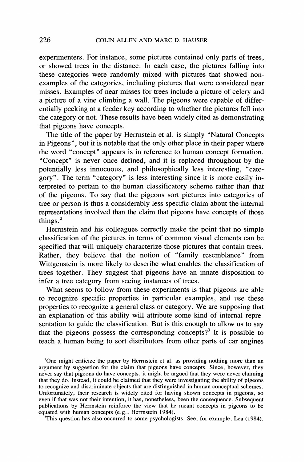**experimenters. For instance, some pictures contained only parts of trees, or showed trees in the distance. In each case, the pictures falling into these categories were randomly mixed with pictures that showed nonexamples of the categories, including pictures that were considered near misses. Examples of near misses for trees include a picture of celery and a picture of a vine climbing a wall. The pigeons were capable of differentially pecking at a feeder key according to whether the pictures fell into the category or not. These results have been widely cited as demonstrating that pigeons have concepts.** 

**The title of the paper by Herrnstein et al. is simply "Natural Concepts in Pigeons", but it is notable that the only other place in their paper where the word "concept" appears is in reference to human concept formation. "Concept" is never once defined, and it is replaced throughout by the potentially less innocuous, and philosophically less interesting, "category". The term "category" is less interesting since it is more easily interpreted to pertain to the human classificatory scheme rather than that of the pigeons. To say that the pigeons sort pictures into categories of tree or person is thus a considerably less specific claim about the internal representations involved than the claim that pigeons have concepts of those things.2** 

**Herrnstein and his colleagues correctly make the point that no simple classification of the pictures in terms of common visual elements can be specified that will uniquely characterize those pictures that contain trees. Rather, they believe that the notion of "family resemblance" from Wittgenstein is more likely to describe what enables the classification of trees together. They suggest that pigeons have an innate disposition to infer a tree category from seeing instances of trees.** 

**What seems to follow from these experiments is that pigeons are able to recognize specific properties in particular examples, and use these properties to recognize a general class or category. We are supposing that an explanation of this ability will attribute some kind of internal representation to guide the classification. But is this enough to allow us to say that the pigeons possess the corresponding concepts?3 It is possible to teach a human being to sort distributors from other parts of car engines** 

**3This question has also occurred to some psychologists. See, for example, Lea (1984).** 

**<sup>2</sup>One might criticize the paper by Herrnstein et al. as providing nothing more than an argument by suggestion for the claim that pigeons have concepts. Since, however, they never say that pigeons do have concepts, it might be argued that they were never claiming that they do. Instead, it could be claimed that they were investigating the ability of pigeons to recognize and discriminate objects that are distinguished in human conceptual schemes. Unfortunately, their research is widely cited for having shown concepts in pigeons, so even if that was not their intention, it has, nonetheless, been the consequence. Subsequent publications by Herrnstein reinforce the view that he meant concepts in pigeons to be equated with human concepts (e.g., Herrnstein 1984).**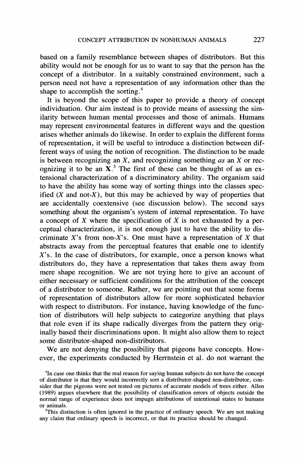**based on a family resemblance between shapes of distributors. But this ability would not be enough for us to want to say that the person has the concept of a distributor. In a suitably constrained environment, such a person need not have a representation of any information other than the shape to accomplish the sorting.4** 

**It is beyond the scope of this paper to provide a theory of concept individuation. Our aim instead is to provide means of assessing the similarity between human mental processes and those of animals. Humans may represent environmental features in different ways and the question arises whether animals do likewise. In order to explain the different forms of representation, it will be useful to introduce a distinction between different ways of using the notion of recognition. The distinction to be made is between recognizing an X, and recognizing something as an X or rec**ognizing it to be an  $X$ <sup>5</sup>. The first of these can be thought of as an ex**tensional characterization of a discriminatory ability. The organism said to have the ability has some way of sorting things into the classes specified (X and not-X), but this may be achieved by way of properties that are accidentally coextensive (see discussion below). The second says something about the organism's system of internal representation. To have a concept of X where the specification of X is not exhausted by a perceptual characterization, it is not enough just to have the ability to discriminate X's from non-X's. One must have a representation of X that abstracts away from the perceptual features that enable one to identify X's. In the case of distributors, for example, once a person knows what distributors do, they have a representation that takes them away from mere shape recognition. We are not trying here to give an account of either necessary or sufficient conditions for the attribution of the concept of a distributor to someone. Rather, we are pointing out that some forms of representation of distributors allow for more sophisticated behavior with respect to distributors. For instance, having knowledge of the function of distributors will help subjects to categorize anything that plays that role even if its shape radically diverges from the pattern they originally based their discriminations upon. It might also allow them to reject some distributor-shaped non-distributors.** 

**We are not denying the possibility that pigeons have concepts. However, the experiments conducted by Herrnstein et al. do not warrant the** 

**<sup>4</sup>In case one thinks that the real reason for saying human subjects do not have the concept of distributor is that they would incorrectly sort a distributor-shaped non-distributor, consider that the pigeons were not tested on pictures of accurate models of trees either. Allen (1989) argues elsewhere that the possibility of classification errors of objects outside the normal range of experience does not impugn attributions of intentional states to humans or animals.** 

**<sup>&#</sup>x27;This distinction is often ignored in the practice of ordinary speech. We are not making any claim that ordinary speech is incorrect, or that its practice should be changed.**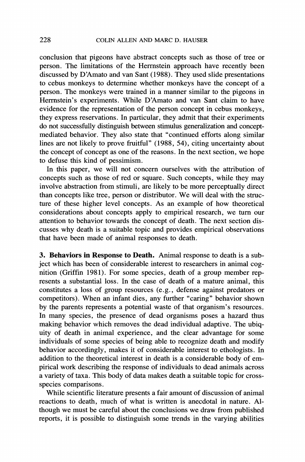**conclusion that pigeons have abstract concepts such as those of tree or person. The limitations of the Herrnstein approach have recently been discussed by D'Amato and van Sant (1988). They used slide presentations to cebus monkeys to determine whether monkeys have the concept of a person. The monkeys were trained in a manner similar to the pigeons in Herrnstein's experiments. While D'Amato and van Sant claim to have evidence for the representation of the person concept in cebus monkeys, they express reservations. In particular, they admit that their experiments do not successfully distinguish between stimulus generalization and conceptmediated behavior. They also state that "continued efforts along similar lines are not likely to prove fruitful" (1988, 54), citing uncertainty about the concept of concept as one of the reasons. In the next section, we hope to defuse this kind of pessimism.** 

**In this paper, we will not concern ourselves with the attribution of concepts such as those of red or square. Such concepts, while they may involve abstraction from stimuli, are likely to be more perceptually direct than concepts like tree, person or distributor. We will deal with the structure of these higher level concepts. As an example of how theoretical considerations about concepts apply to empirical research, we turn our attention to behavior towards the concept of death. The next section discusses why death is a suitable topic and provides empirical observations that have been made of animal responses to death.** 

**3. Behaviors in Response to Death. Animal response to death is a subject which has been of considerable interest to researchers in animal cognition (Griffin 1981). For some species, death of a group member represents a substantial loss. In the case of death of a mature animal, this constitutes a loss of group resources (e.g., defense against predators or competitors). When an infant dies, any further "caring" behavior shown by the parents represents a potential waste of that organism's resources. In many species, the presence of dead organisms poses a hazard thus making behavior which removes the dead individual adaptive. The ubiquity of death in animal experience, and the clear advantage for some individuals of some species of being able to recognize death and modify behavior accordingly, makes it of considerable interest to ethologists. In addition to the theoretical interest in death is a considerable body of empirical work describing the response of individuals to dead animals across a variety of taxa. This body of data makes death a suitable topic for crossspecies comparisons.** 

**While scientific literature presents a fair amount of discussion of animal reactions to death, much of what is written is anecdotal in nature. Although we must be careful about the conclusions we draw from published reports, it is possible to distinguish some trends in the varying abilities**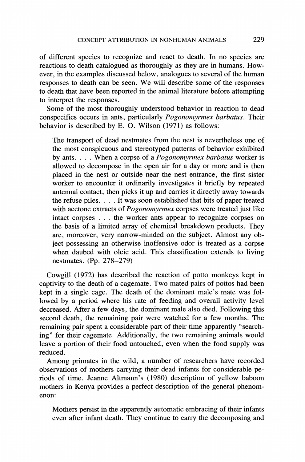**of different species to recognize and react to death. In no species are reactions to death catalogued as thoroughly as they are in humans. However, in the examples discussed below, analogues to several of the human responses to death can be seen. We will describe some of the responses to death that have been reported in the animal literature before attempting to interpret the responses.** 

**Some of the most thoroughly understood behavior in reaction to dead conspecifics occurs in ants, particularly Pogonomyrmex barbatus. Their behavior is described by E. 0. Wilson (1971) as follows:** 

**The transport of dead nestmates from the nest is nevertheless one of the most conspicuous and stereotyped patterns of behavior exhibited by ants. . When a corpse of a Pogonomyrmex barbatus worker is allowed to decompose in the open air for a day or more and is then placed in the nest or outside near the nest entrance, the first sister worker to encounter it ordinarily investigates it briefly by repeated antennal contact, then picks it up and carries it directly away towards the refuse piles. . . . It was soon established that bits of paper treated with acetone extracts of Pogonomyrmex corpses were treated just like intact corpses . . . the worker ants appear to recognize corpses on the basis of a limited array of chemical breakdown products. They are, moreover, very narrow-minded on the subject. Almost any object possessing an otherwise inoffensive odor is treated as a corpse when daubed with oleic acid. This classification extends to living nestmates. (Pp. 278-279)** 

**Cowgill (1972) has described the reaction of potto monkeys kept in captivity to the death of a cagemate. Two mated pairs of pottos had been kept in a single cage. The death of the dominant male's mate was followed by a period where his rate of feeding and overall activity level decreased. After a few days, the dominant male also died. Following this second death, the remaining pair were watched for a few months. The remaining pair spent a considerable part of their time apparently "searching" for their cagemate. Additionally, the two remaining animals would leave a portion of their food untouched, even when the food supply was reduced.** 

**Among primates in the wild, a number of researchers have recorded observations of mothers carrying their dead infants for considerable periods of time. Jeanne Altmann's (1980) description of yellow baboon mothers in Kenya provides a perfect description of the general phenomenon:** 

**Mothers persist in the apparently automatic embracing of their infants even after infant death. They continue to carry the decomposing and**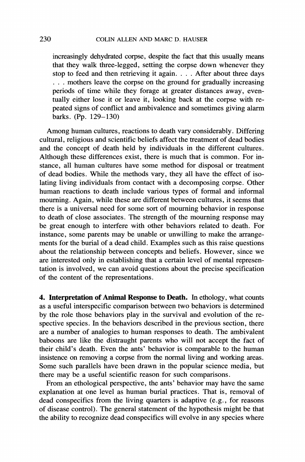**increasingly dehydrated corpse, despite the fact that this usually means that they walk three-legged, setting the corpse down whenever they stop to feed and then retrieving it again. . . . After about three days . . mothers leave the corpse on the ground for gradually increasing periods of time while they forage at greater distances away, eventually either lose it or leave it, looking back at the corpse with repeated signs of conflict and ambivalence and sometimes giving alarm barks. (Pp. 129-130)** 

**Among human cultures, reactions to death vary considerably. Differing cultural, religious and scientific beliefs affect the treatment of dead bodies and the concept of death held by individuals in the different cultures. Although these differences exist, there is much that is common. For instance, all human cultures have some method for disposal or treatment of dead bodies. While the methods vary, they all have the effect of isolating living individuals from contact with a decomposing corpse. Other human reactions to death include various types of formal and informal mourning. Again, while these are different between cultures, it seems that there is a universal need for some sort of mourning behavior in response to death of close associates. The strength of the mourning response may be great enough to interfere with other behaviors related to death. For instance, some parents may be unable or unwilling to make the arrangements for the burial of a dead child. Examples such as this raise questions about the relationship between concepts and beliefs. However, since we are interested only in establishing that a certain level of mental representation is involved, we can avoid questions about the precise specification of the content of the representations.** 

**4. Interpretation of Animal Response to Death. In ethology, what counts as a useful interspecific comparison between two behaviors is determined by the role those behaviors play in the survival and evolution of the respective species. In the behaviors described in the previous section, there are a number of analogies to human responses to death. The ambivalent baboons are like the distraught parents who will not accept the fact of their child's death. Even the ants' behavior is comparable to the human insistence on removing a corpse from the normal living and working areas. Some such parallels have been drawn in the popular science media, but there may be a useful scientific reason for such comparisons.** 

**From an ethological perspective, the ants' behavior may have the same explanation at one level as human burial practices. That is, removal of dead conspecifics from the living quarters is adaptive (e.g., for reasons of disease control). The general statement of the hypothesis might be that the ability to recognize dead conspecifics will evolve in any species where**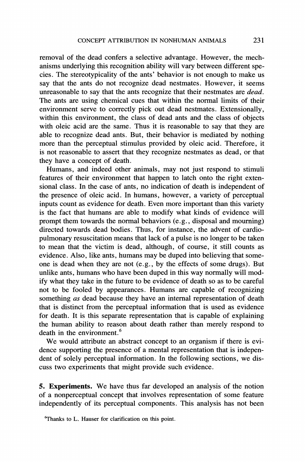**removal of the dead confers a selective advantage. However, the mechanisms underlying this recognition ability will vary between different species. The stereotypicality of the ants' behavior is not enough to make us say that the ants do not recognize dead nestmates. However, it seems unreasonable to say that the ants recognize that their nestmates are dead. The ants are using chemical cues that within the normal limits of their environment serve to correctly pick out dead nestmates. Extensionally, within this environment, the class of dead ants and the class of objects with oleic acid are the same. Thus it is reasonable to say that they are able to recognize dead ants. But, their behavior is mediated by nothing more than the perceptual stimulus provided by oleic acid. Therefore, it is not reasonable to assert that they recognize nestmates as dead, or that they have a concept of death.** 

**Humans, and indeed other animals, may not just respond to stimuli features of their environment that happen to latch onto the right extensional class. In the case of ants, no indication of death is independent of the presence of oleic acid. In humans, however, a variety of perceptual inputs count as evidence for death. Even more important than this variety is the fact that humans are able to modify what kinds of evidence will prompt them towards the normal behaviors (e.g., disposal and mourning) directed towards dead bodies. Thus, for instance, the advent of cardiopulmonary resuscitation means that lack of a pulse is no longer to be taken to mean that the victim is dead, although, of course, it still counts as evidence. Also, like ants, humans may be duped into believing that someone is dead when they are not (e.g., by the effects of some drugs). But unlike ants, humans who have been duped in this way normally will modify what they take in the future to be evidence of death so as to be careful not to be fooled by appearances. Humans are capable of recognizing something as dead because they have an internal representation of death that is distinct from the perceptual information that is used as evidence for death. It is this separate representation that is capable of explaining the human ability to reason about death rather than merely respond to death in the environment.6** 

**We would attribute an abstract concept to an organism if there is evidence supporting the presence of a mental representation that is independent of solely perceptual information. In the following sections, we discuss two experiments that might provide such evidence.** 

**5. Experiments. We have thus far developed an analysis of the notion of a nonperceptual concept that involves representation of some feature independently of its perceptual components. This analysis has not been** 

**EThanks to L. Hauser for clarification on this point.**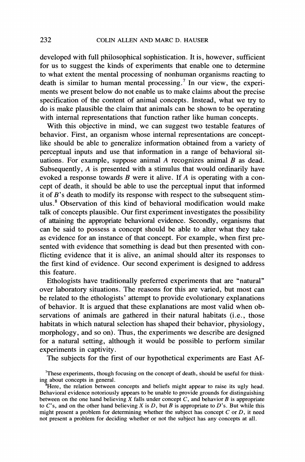**developed with full philosophical sophistication. It is, however, sufficient for us to suggest the kinds of experiments that enable one to determine to what extent the mental processing of nonhuman organisms reacting to death is similar to human mental processing.7 In our view, the experiments we present below do not enable us to make claims about the precise specification of the content of animal concepts. Instead, what we try to do is make plausible the claim that animals can be shown to be operating**  with internal representations that function rather like human concepts.

**With this objective in mind, we can suggest two testable features of behavior. First, an organism whose internal representations are conceptlike should be able to generalize information obtained from a variety of perceptual inputs and use that information in a range of behavioral situations. For example, suppose animal A recognizes animal B as dead. Subsequently, A is presented with a stimulus that would ordinarily have evoked a response towards B were it alive. If A is operating with a concept of death, it should be able to use the perceptual input that informed it of B's death to modify its response with respect to the subsequent stimulus.8 Observation of this kind of behavioral modification would make talk of concepts plausible. Our first experiment investigates the possibility of attaining the appropriate behavioral evidence. Secondly, organisms that can be said to possess a concept should be able to alter what they take as evidence for an instance of that concept. For example, when first presented with evidence that something is dead but then presented with conflicting evidence that it is alive, an animal should alter its responses to the first kind of evidence. Our second experiment is designed to address this feature.** 

**Ethologists have traditionally preferred experiments that are "natural" over laboratory situations. The reasons for this are varied, but most can be related to the ethologists' attempt to provide evolutionary explanations of behavior. It is argued that these explanations are most valid when observations of animals are gathered in their natural habitats (i.e., those habitats in which natural selection has shaped their behavior, physiology, morphology, and so on). Thus, the experiments we describe are designed for a natural setting, although it would be possible to perform similar experiments in captivity.** 

**The subjects for the first of our hypothetical experiments are East Af-**

**<sup>7</sup>These experiments, though focusing on the concept of death, should be useful for thinking about concepts in general.** 

<sup>&</sup>lt;sup>8</sup>Here, the relation between concepts and beliefs might appear to raise its ugly head. **Behavioral evidence notoriously appears to be unable to provide grounds for distinguishing between on the one hand believing X falls under concept C, and behavior B is appropriate**  to  $C$ 's, and on the other hand believing  $X$  is  $D$ , but  $B$  is appropriate to  $D$ 's. But while this **might present a problem for determining whether the subject has concept C or D, it need not present a problem for deciding whether or not the subject has any concepts at all.**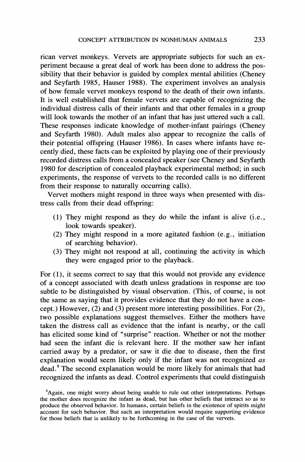**rican vervet monkeys. Vervets are appropriate subjects for such an experiment because a great deal of work has been done to address the possibility that their behavior is guided by complex mental abilities (Cheney and Seyfarth 1985, Hauser 1988). The experiment involves an analysis of how female vervet monkeys respond to the death of their own infants. It is well established that female vervets are capable of recognizing the individual distress calls of their infants and that other females in a group will look towards the mother of an infant that has just uttered such a call. These responses indicate knowledge of mother-infant pairings (Cheney and Seyfarth 1980). Adult males also appear to recognize the calls of their potential offspring (Hauser 1986). In cases where infants have recently died, these facts can be exploited by playing one of their previously recorded distress calls from a concealed speaker (see Cheney and Seyfarth 1980 for description of concealed playback experimental method; in such experiments, the response of vervets to the recorded calls is no different from their response to naturally occurring calls).** 

**Vervet mothers might respond in three ways when presented with distress calls from their dead offspring:** 

- **(1) They might respond as they do while the infant is alive (i.e., look towards speaker).**
- **(2) They might respond in a more agitated fashion (e.g., initiation of searching behavior).**
- **(3) They might not respond at all, continuing the activity in which they were engaged prior to the playback.**

**For (1), it seems correct to say that this would not provide any evidence of a concept associated with death unless gradations in response are too subtle to be distinguished by visual observation. (This, of course, is not the same as saying that it provides evidence that they do not have a concept.) However, (2) and (3) present more interesting possibilities. For (2), two possible explanations suggest themselves. Either the mothers have taken the distress call as evidence that the infant is nearby, or the call has elicited some kind of "surprise" reaction. Whether or not the mother had seen the infant die is relevant here. If the mother saw her infant carried away by a predator, or saw it die due to disease, then the first explanation would seem likely only if the infant was not recognized as dead.9 The second explanation would be more likely for animals that had recognized the infants as dead. Control experiments that could distinguish** 

**<sup>9</sup>Again, one might worry about being unable to rule out other interpretations. Perhaps the mother does recognize the infant as dead, but has other beliefs that interact so as to produce the observed behavior. In humans, certain beliefs in the existence of spirits might account for such behavior. But such an interpretation would require supporting evidence for those beliefs that is unlikely to be forthcoming in the case of the vervets.**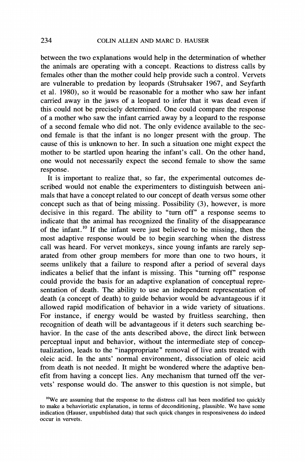**between the two explanations would help in the determination of whether the animals are operating with a concept. Reactions to distress calls by females other than the mother could help provide such a control. Vervets are vulnerable to predation by leopards (Struhsaker 1967, and Seyfarth et al. 1980), so it would be reasonable for a mother who saw her infant carried away in the jaws of a leopard to infer that it was dead even if this could not be precisely determined. One could compare the response of a mother who saw the infant carried away by a leopard to the response of a second female who did not. The only evidence available to the second female is that the infant is no longer present with the group. The cause of this is unknown to her. In such a situation one might expect the mother to be startled upon hearing the infant's call. On the other hand, one would not necessarily expect the second female to show the same response.** 

**It is important to realize that, so far, the experimental outcomes described would not enable the experimenters to distinguish between animals that have a concept related to our concept of death versus some other concept such as that of being missing. Possibility (3), however, is more decisive in this regard. The ability to "turn off" a response seems to indicate that the animal has recognized the finality of the disappearance of the infant.10 If the infant were just believed to be missing, then the most adaptive response would be to begin searching when the distress call was heard. For vervet monkeys, since young infants are rarely separated from other group members for more than one to two hours, it seems unlikely that a failure to respond after a period of several days indicates a belief that the infant is missing. This "turning off" response could provide the basis for an adaptive explanation of conceptual representation of death. The ability to use an independent representation of death (a concept of death) to guide behavior would be advantageous if it allowed rapid modification of behavior in a wide variety of situations. For instance, if energy would be wasted by fruitless searching, then recognition of death will be advantageous if it deters such searching behavior. In the case of the ants described above, the direct link between perceptual input and behavior, without the intermediate step of conceptualization, leads to the "inappropriate" removal of live ants treated with oleic acid. In the ants' normal environment, dissociation of oleic acid from death is not needed. It might be wondered where the adaptive benefit from having a concept lies. Any mechanism that turned off the vervets' response would do. The answer to this question is not simple, but** 

<sup>&</sup>lt;sup>10</sup>We are assuming that the response to the distress call has been modified too quickly **to make a behavioristic explanation, in terms of deconditioning, plausible. We have some indication (Hauser, unpublished data) that such quick changes in responsiveness do indeed occur in vervets.**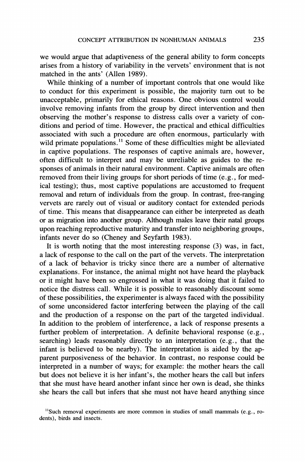**we would argue that adaptiveness of the general ability to form concepts arises from a history of variability in the vervets' environment that is not matched in the ants' (Allen 1989).** 

**While thinking of a number of important controls that one would like to conduct for this experiment is possible, the majority turn out to be unacceptable, primarily for ethical reasons. One obvious control would involve removing infants from the group by direct intervention and then observing the mother's response to distress calls over a variety of conditions and period of time. However, the practical and ethical difficulties associated with such a procedure are often enormous, particularly with**  wild primate populations.<sup>11</sup> Some of these difficulties might be alleviated **in captive populations. The responses of captive animals are, however, often difficult to interpret and may be unreliable as guides to the responses of animals in their natural environment. Captive animals are often removed from their living groups for short periods of time (e.g., for medical testing); thus, most captive populations are accustomed to frequent removal and return of individuals from the group. In contrast, free-ranging vervets are rarely out of visual or auditory contact for extended periods of time. This means that disappearance can either be interpreted as death or as migration into another group. Although males leave their natal groups upon reaching reproductive maturity and transfer into neighboring groups, infants never do so (Cheney and Seyfarth 1983).** 

**It is worth noting that the most interesting response (3) was, in fact, a lack of response to the call on the part of the vervets. The interpretation of a lack of behavior is tricky since there are a number of alternative explanations. For instance, the animal might not have heard the playback or it might have been so engrossed in what it was doing that it failed to notice the distress call. While it is possible to reasonably discount some of these possibilities, the experimenter is always faced with the possibility of some unconsidered factor interfering between the playing of the call and the production of a response on the part of the targeted individual. In addition to the problem of interference, a lack of response presents a further problem of interpretation. A definite behavioral response (e.g., searching) leads reasonably directly to an interpretation (e.g., that the infant is believed to be nearby). The interpretation is aided by the apparent purposiveness of the behavior. In contrast, no response could be interpreted in a number of ways; for example: the mother hears the call but does not believe it is her infant's, the mother hears the call but infers that she must have heard another infant since her own is dead, she thinks she hears the call but infers that she must not have heard anything since** 

<sup>&</sup>lt;sup>11</sup>Such removal experiments are more common in studies of small mammals (e.g., ro**dents), birds and insects.**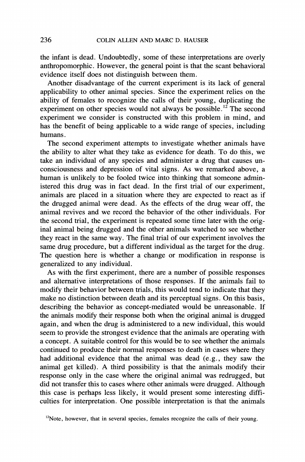**the infant is dead. Undoubtedly, some of these interpretations are overly anthropomorphic. However, the general point is that the scant behavioral evidence itself does not distinguish between them.** 

**Another disadvantage of the current experiment is its lack of general applicability to other animal species. Since the experiment relies on the ability of females to recognize the calls of their young, duplicating the experiment on other species would not always be possible.'2 The second experiment we consider is constructed with this problem in mind, and has the benefit of being applicable to a wide range of species, including humans.** 

**The second experiment attempts to investigate whether animals have the ability to alter what they take as evidence for death. To do this, we take an individual of any species and administer a drug that causes unconsciousness and depression of vital signs. As we remarked above, a human is unlikely to be fooled twice into thinking that someone administered this drug was in fact dead. In the first trial of our experiment, animals are placed in a situation where they are expected to react as if the drugged animal were dead. As the effects of the drug wear off, the animal revives and we record the behavior of the other individuals. For the second trial, the experiment is repeated some time later with the original animal being drugged and the other animals watched to see whether they react in the same way. The final trial of our experiment involves the same drug procedure, but a different individual as the target for the drug. The question here is whether a change or modification in response is generalized to any individual.** 

**As with the first experiment, there are a number of possible responses and alternative interpretations of those responses. If the animals fail to modify their behavior between trials, this would tend to indicate that they make no distinction between death and its perceptual signs. On this basis, describing the behavior as concept-mediated would be unreasonable. If the animals modify their response both when the original animal is drugged again, and when the drug is administered to a new individual, this would seem to provide the strongest evidence that the animals are operating with a concept. A suitable control for this would be to see whether the animals continued to produce their normal responses to death in cases where they had additional evidence that the animal was dead (e.g., they saw the animal get killed). A third possibility is that the animals modify their response only in the case where the original animal was redrugged, but did not transfer this to cases where other animals were drugged. Although this case is perhaps less likely, it would present some interesting difficulties for interpretation. One possible interpretation is that the animals** 

<sup>&</sup>lt;sup>12</sup>Note, however, that in several species, females recognize the calls of their young.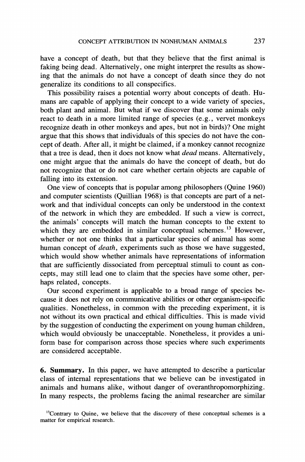**have a concept of death, but that they believe that the first animal is faking being dead. Alternatively, one might interpret the results as showing that the animals do not have a concept of death since they do not generalize its conditions to all conspecifics.** 

**This possibility raises a potential worry about concepts of death. Humans are capable of applying their concept to a wide variety of species, both plant and animal. But what if we discover that some animals only react to death in a more limited range of species (e.g., vervet monkeys recognize death in other monkeys and apes, but not in birds)? One might argue that this shows that individuals of this species do not have the concept of death. After all, it might be claimed, if a monkey cannot recognize that a tree is dead, then it does not know what dead means. Alternatively, one might argue that the animals do have the concept of death, but do not recognize that or do not care whether certain objects are capable of falling into its extension.** 

**One view of concepts that is popular among philosophers (Quine 1960) and computer scientists (Quillian 1968) is that concepts are part of a network and that individual concepts can only be understood in the context of the network in which they are embedded. If such a view is correct, the animals' concepts will match the human concepts to the extent to**  which they are embedded in similar conceptual schemes.<sup>13</sup> However, **whether or not one thinks that a particular species of animal has some human concept of death, experiments such as those we have suggested, which would show whether animals have representations of information that are sufficiently dissociated from perceptual stimuli to count as concepts, may still lead one to claim that the species have some other, perhaps related, concepts.** 

**Our second experiment is applicable to a broad range of species because it does not rely on communicative abilities or other organism-specific qualities. Nonetheless, in common with the preceding -experiment, it is not without its own practical and ethical difficulties. This is made vivid by the suggestion of conducting the experiment on young human children, which would obviously be unacceptable. Nonetheless, it provides a uniform base for comparison across those species where such experiments are considered acceptable.** 

**6. Summary. In this paper, we have attempted to describe a particular class of internal representations that we believe can be investigated in animals and humans alike, without danger of overanthropomorphizing. In many respects, the problems facing the animal researcher are similar** 

**<sup>13</sup>Contrary to Quine, we believe that the discovery of these conceptual schemes is a matter for empirical research.**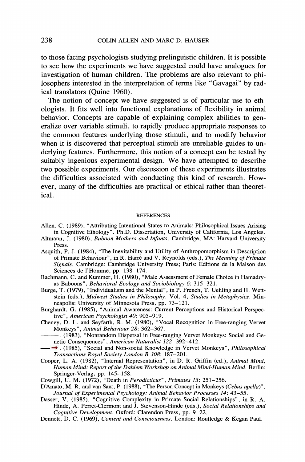**to those facing psychologists studying prelinguistic children. It is possible to see how the experiments we have suggested could have analogues for investigation of human children. The problems are also relevant to philosophers interested in the interpretation of terms like "Gavagai" by radical translators (Quine 1960).** 

**The notion of concept we have suggested is of particular use to ethologists. It fits well into functional explanations of flexibility in animal behavior. Concepts are capable of explaining complex abilities to generalize over variable stimuli, to rapidly produce appropriate responses to the common features underlying those stimuli, and to modify behavior when it is discovered that perceptual stimuli are unreliable guides to underlying features. Furthermore, this notion of a concept can be tested by suitably ingenious experimental design. We have attempted to describe two possible experiments. Our discussion of these experiments illustrates the difficulties associated with conducting this kind of research. However, many of the difficulties are practical or ethical rather than theoretical.** 

#### **REFERENCES**

- **Allen, C. (1989), "Attributing Intentional States to Animals: Philosophical Issues Arising in Cognitive Ethology". Ph.D. Dissertation, University of California, Los Angeles.**
- **Altmann, J. (1980), Baboon Mothers and Infants. Cambridge, MA: Harvard University Press.**
- **Asquith, P. J. (1984), "The Inevitability and Utility of Anthropomorphism in Description**  of Primate Behaviour", in R. Harré and V. Reynolds (eds.), The Meaning of Primate **Signals. Cambridge: Cambridge University Press; Paris: Editions de la Maison des Sciences de l'Homme, pp. 138-174.**
- **Bachmann, C. and Kummer, H. (1980), "Male Assessment of Female Choice in Hamadryas Baboons", Behavioral Ecology and Sociobiology 6: 315-321.**
- **Burge, T. (1979), "Individualism and the Mental", in P. French, T. Uehling and H. Wettstein (eds.), Midwest Studies in Philosophy. Vol. 4, Studies in Metaphysics. Minneapolis: University of Minnesota Press, pp. 73-121.**
- **Burghardt, G. (1985), "Animal Awareness: Current Perceptions and Historical Perspective", American Psychologist 40: 905-919.**
- **Cheney, D. L. and Seyfarth, R. M. (1980), "Vocal Recognition in Free-ranging Vervet Monkeys", Animal Behaviour 28: 362-367.** 
	- **. (1983), "Nonrandom Dispersal in Free-ranging Vervet Monkeys: Social and Genetic Consequences", American Naturalist 122: 392-412.**
- $\rightarrow$  **(1985), "Social and Non-social Knowledge in Vervet Monkeys", Philosophical Transactions Royal Society London B 308: 187-201.**
- **Cooper, L. A. (1982), "Internal Representation", in D. R. Griffin (ed.), Animal Mind, Human Mind: Report of the Dahlem Workshop on Animal Mind-Human Mind. Berlin: Springer-Verlag, pp. 145-158.**
- **Cowgill, U. M. (1972), "Death in Perodicticus", Primates 13: 251-256.**
- **D'Amato, M. R. and van Sant, P. (1988), "The Person Concept in Monkeys (Cebus apella)", Journal of Experimental Psychology: Animal Behavior Processes 14: 43-55.**
- **Dasser, V. (1985), "Cognitive Complexity in Primate Social Relationships", in R. A. Hinde, A. Perret-Clermont and J. Stevenson-Hinde (eds.), Social Relationships and Cognitive Development. Oxford: Clarendon Press, pp. 9-22.**
- **Dennett, D. C. (1969), Content and Consciousness. London: Routledge & Kegan Paul.**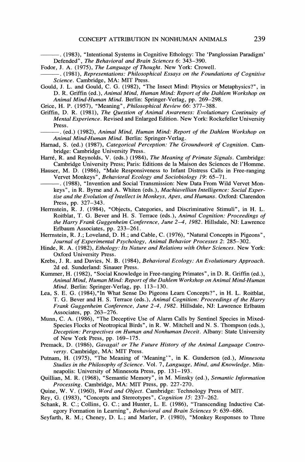**. (1983), "Intentional Systems in Cognitive Ethology: The 'Panglossian Paradigm' Defended", The Behavioral and Brain Sciences 6: 343-390.** 

- **Fodor, J. A. (1975), The Language of Thought. New York: Crowell.**
- **. (1981), Representations: Philosophical Essays on the Foundations of Cognitive Science. Cambridge, MA: MIT Press.**
- **Gould, J. L. and Gould, C. G. (1982), "The Insect Mind: Physics or Metaphysics?", in D. R. Griffin (ed.), Animal Mind, Human Mind: Report of the Dahlem Workshop on Animal Mind-Human Mind. Berlin: Springer-Verlag, pp. 269-298.**
- **Grice, H. P. (1957), "Meaning", Philosophical Review 66: 377-388.**
- **Griffin, D. R. (1981), The Question of Animal Awareness: Evolutionary Continuity of Mental Experience. Revised and Enlarged Edition. New York: Rockefeller University Press.**
- **. (ed.) (1982), Animal Mind, Human Mind: Report of the Dahlem Workshop on Animal Mind-Human Mind. Berlin: Springer-Verlag.,**
- **Hamad, S. (ed.) (1987), Categorical Perception: The Groundwork of Cognition. Cambridge: Cambridge University Press.,**
- Harré, R. and Reynolds, V. (eds.) (1984), *The Meaning of Primate Signals*. Cambridge: **Cambridge University Press; Paris: Editions de la Maison des Sciences de l'Homme.**
- **Hauser, M. D. (1986), "Male Responsiveness to Infant Distress Calls in Free-ranging Vervet Monkeys", Behavioral Ecology and Sociobiology 19: 65-71.**
- **. (1988), "Invention and Social Transmission: New Data From Wild Vervet Monkeys", in R. Byrne and A. Whiten (eds.), Machiavellian Intelligence: Social Expertise and the Evolution of Intellect in Monkeys, Apes, and Humans. Oxford: Clarendon Press, pp. 327-343.**
- **Herrnstein, R. J. (1984), "Objects, Categories, and Discriminative Stimuli", in H. L. Roitblat, T. G. Bever and H. S. Terrace (eds.), Animal Cognition: Proceedings of the Harry Frank Guggenheim Conference, June 2-4, 1982. Hillsdale, NJ: Lawrence Erlbaum Associates, pp. 233-261.**
- **Herrnstein, R. J.; Loveland, D. H.; and Cable, C. (1976), "Natural Concepts in Pigeons", Journal of Experimental Psychology, Animal Behavior Processes 2: 285-302.**
- **Hinde, R. A. (1982), Ethology: Its Nature and Relations with Other Sciences. New York: Oxford University Press.**
- **Krebs, J. R. and Davies, N. B. (1984), Behavioral Ecology: An Evolutionary Approach. 2d ed. Sunderland: Sinauer Press.**
- **Kummer, H. (1982), "Social Knowledge in Free-ranging Primates", in D. R. Griffin (ed.), Animal Mind, Human Mind: Report of the Dahlem Workshop on Animal Mind-Human Mind. Berlin: Springer-Verlag, pp. 113-130..**
- **Lea, S. E. G. (1984),"In What Sense Do Pigeons Learn Concepts?", in H. L. Roitblat, T. G. Bever and H. S. Terrace (eds.), Animal Cognition: Proceedings of the Harry Frank Guggenheim Conference, June 2-4, 1982. Hillsdale, NJ: Lawrence Erlbaum Associates, pp. 263-276.**
- **Munn, C. A. (1986), "The Deceptive Use of Alarm Calls by Sentinel Species in Mixed-Species Flocks of Neotropical Birds", in R. W. Mitchell and N. S. Thompson (eds.), Deception: Perspectives on Human and Nonhuman Deceit. Albany: State University of New York Press, pp. 169-175.**
- **Premack, D. (1986), Gavagai! or The Future History of the Animal Language Controversy. Cambridge, MA: MIT Press.**
- **Putnam, H. (1975), "The Meaning of 'Meaning'", in K. Gunderson (ed.), Minnesota Studies in the Philosophy of Science. Vol. 7, Language, Mind, and Knowledge. Minneapolis: University of Minnesota Press, pp. 131-193.**
- **Quillian, M. R. (1968), "Semantic Memory", in M. Minsky (ed.), Semantic Information Processing. Cambridge, MA: MIT Press, pp. 227-270..**
- **Quine, W. V. (1960), Word and Object. Cambridge: Technology Press of MIT.**
- **Rey, G. (1983), "Concepts and Stereotypes", Cognition 15: 237-262.**
- **Schank, R. C.; Collins, G. C.; and Hunter, L. E. (1986), "Transcending Inductive Category Formation in Learning", Behavioral and Brain Sciences 9: 639-686.**
- **Seyfarth, R. M.; Cheney, D. L.; and Marler, P. (1980), "Monkey Responses to Three**